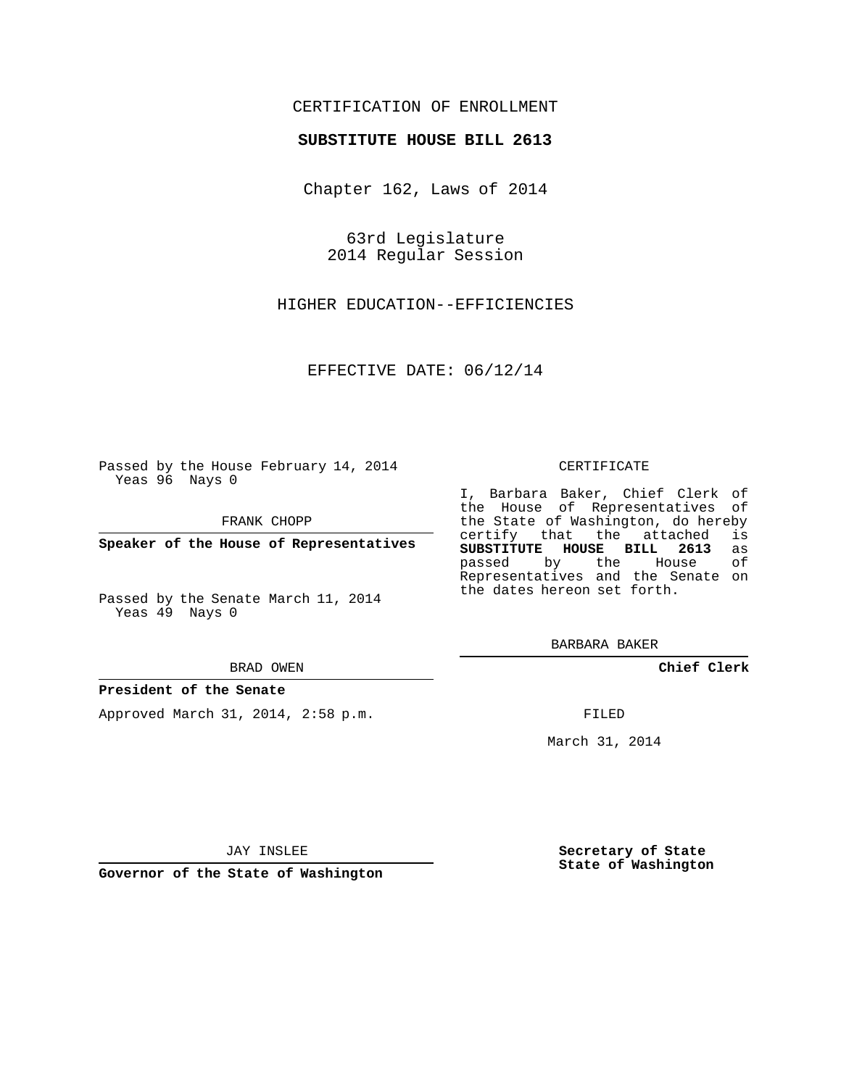## CERTIFICATION OF ENROLLMENT

### **SUBSTITUTE HOUSE BILL 2613**

Chapter 162, Laws of 2014

63rd Legislature 2014 Regular Session

HIGHER EDUCATION--EFFICIENCIES

EFFECTIVE DATE: 06/12/14

Passed by the House February 14, 2014 Yeas 96 Nays 0

FRANK CHOPP

**Speaker of the House of Representatives**

Passed by the Senate March 11, 2014 Yeas 49 Nays 0

#### BRAD OWEN

#### **President of the Senate**

Approved March 31, 2014, 2:58 p.m.

### CERTIFICATE

I, Barbara Baker, Chief Clerk of the House of Representatives of the State of Washington, do hereby<br>certify that the attached is certify that the attached **SUBSTITUTE HOUSE BILL 2613** as passed by the Representatives and the Senate on the dates hereon set forth.

BARBARA BAKER

**Chief Clerk**

FILED

March 31, 2014

JAY INSLEE

**Governor of the State of Washington**

**Secretary of State State of Washington**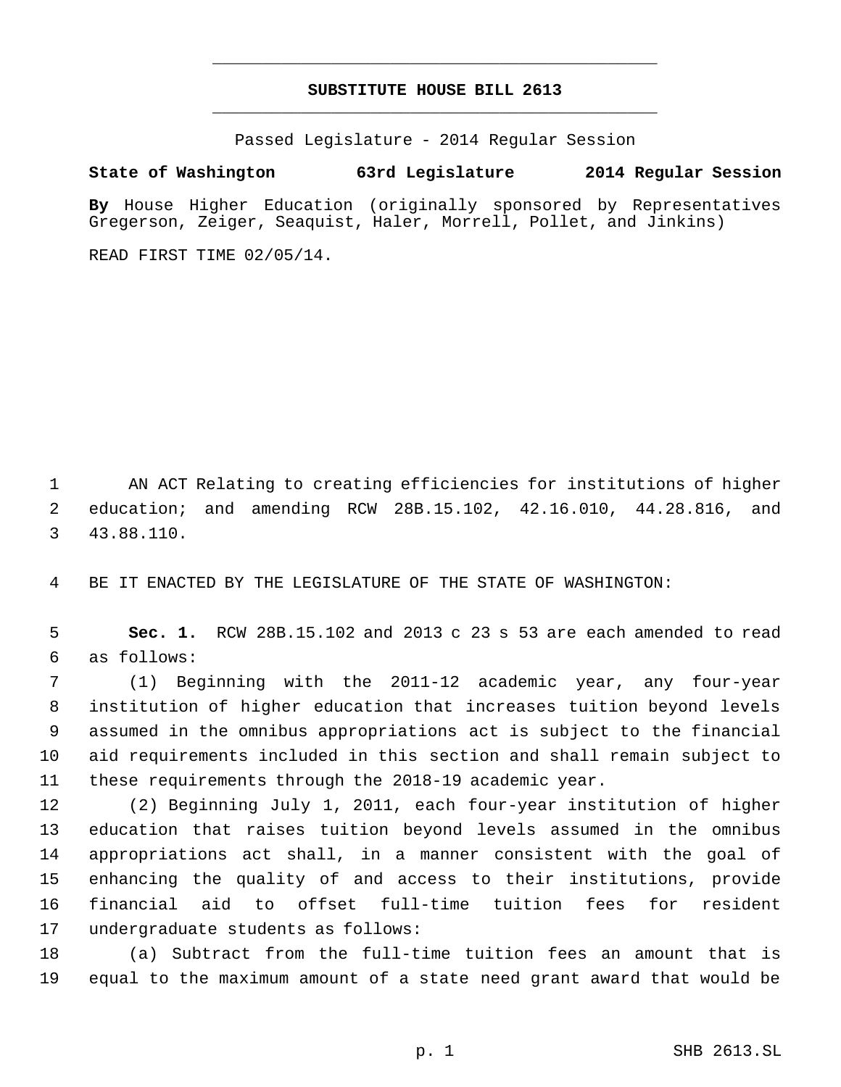# **SUBSTITUTE HOUSE BILL 2613** \_\_\_\_\_\_\_\_\_\_\_\_\_\_\_\_\_\_\_\_\_\_\_\_\_\_\_\_\_\_\_\_\_\_\_\_\_\_\_\_\_\_\_\_\_

\_\_\_\_\_\_\_\_\_\_\_\_\_\_\_\_\_\_\_\_\_\_\_\_\_\_\_\_\_\_\_\_\_\_\_\_\_\_\_\_\_\_\_\_\_

Passed Legislature - 2014 Regular Session

## **State of Washington 63rd Legislature 2014 Regular Session**

**By** House Higher Education (originally sponsored by Representatives Gregerson, Zeiger, Seaquist, Haler, Morrell, Pollet, and Jinkins)

READ FIRST TIME 02/05/14.

 AN ACT Relating to creating efficiencies for institutions of higher education; and amending RCW 28B.15.102, 42.16.010, 44.28.816, and 43.88.110.

BE IT ENACTED BY THE LEGISLATURE OF THE STATE OF WASHINGTON:

 **Sec. 1.** RCW 28B.15.102 and 2013 c 23 s 53 are each amended to read as follows:

 (1) Beginning with the 2011-12 academic year, any four-year institution of higher education that increases tuition beyond levels assumed in the omnibus appropriations act is subject to the financial aid requirements included in this section and shall remain subject to these requirements through the 2018-19 academic year.

 (2) Beginning July 1, 2011, each four-year institution of higher education that raises tuition beyond levels assumed in the omnibus appropriations act shall, in a manner consistent with the goal of enhancing the quality of and access to their institutions, provide financial aid to offset full-time tuition fees for resident undergraduate students as follows:

 (a) Subtract from the full-time tuition fees an amount that is equal to the maximum amount of a state need grant award that would be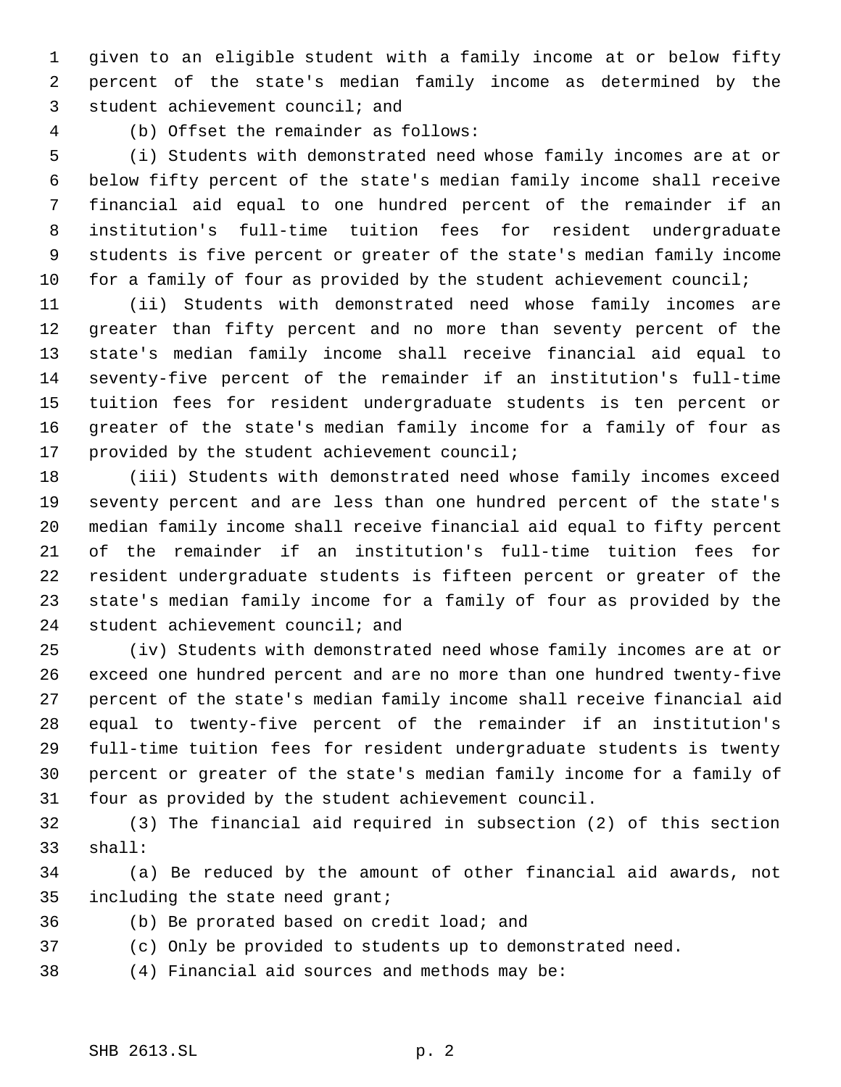given to an eligible student with a family income at or below fifty percent of the state's median family income as determined by the student achievement council; and

(b) Offset the remainder as follows:

 (i) Students with demonstrated need whose family incomes are at or below fifty percent of the state's median family income shall receive financial aid equal to one hundred percent of the remainder if an institution's full-time tuition fees for resident undergraduate students is five percent or greater of the state's median family income 10 for a family of four as provided by the student achievement council;

 (ii) Students with demonstrated need whose family incomes are greater than fifty percent and no more than seventy percent of the state's median family income shall receive financial aid equal to seventy-five percent of the remainder if an institution's full-time tuition fees for resident undergraduate students is ten percent or greater of the state's median family income for a family of four as provided by the student achievement council;

 (iii) Students with demonstrated need whose family incomes exceed seventy percent and are less than one hundred percent of the state's median family income shall receive financial aid equal to fifty percent of the remainder if an institution's full-time tuition fees for resident undergraduate students is fifteen percent or greater of the state's median family income for a family of four as provided by the student achievement council; and

 (iv) Students with demonstrated need whose family incomes are at or exceed one hundred percent and are no more than one hundred twenty-five percent of the state's median family income shall receive financial aid equal to twenty-five percent of the remainder if an institution's full-time tuition fees for resident undergraduate students is twenty percent or greater of the state's median family income for a family of four as provided by the student achievement council.

 (3) The financial aid required in subsection (2) of this section shall:

 (a) Be reduced by the amount of other financial aid awards, not including the state need grant;

- (b) Be prorated based on credit load; and
- (c) Only be provided to students up to demonstrated need.
- (4) Financial aid sources and methods may be: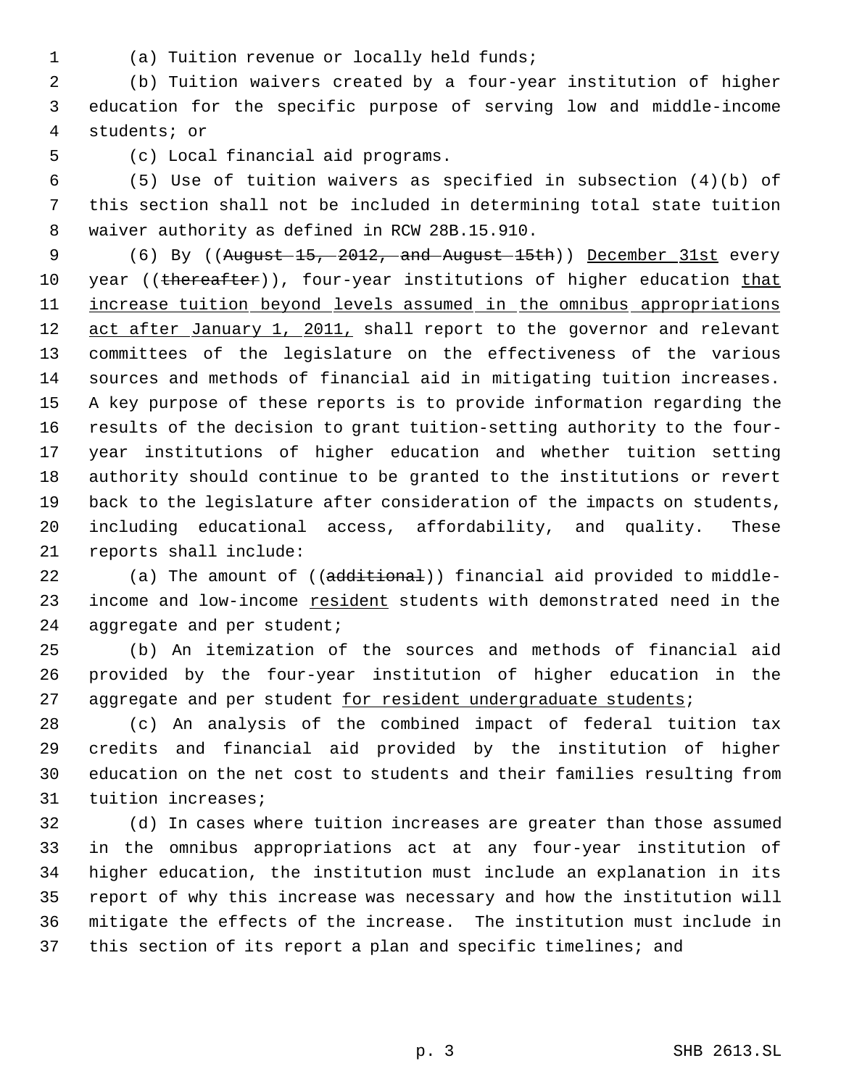- 
- (a) Tuition revenue or locally held funds;

 (b) Tuition waivers created by a four-year institution of higher education for the specific purpose of serving low and middle-income students; or

(c) Local financial aid programs.

 (5) Use of tuition waivers as specified in subsection (4)(b) of this section shall not be included in determining total state tuition waiver authority as defined in RCW 28B.15.910.

9 (6) By ((August 15, 2012, and August 15th)) December 31st every 10 year ((thereafter)), four-year institutions of higher education that 11 increase tuition beyond levels assumed in the omnibus appropriations 12 act after January 1, 2011, shall report to the governor and relevant committees of the legislature on the effectiveness of the various sources and methods of financial aid in mitigating tuition increases. A key purpose of these reports is to provide information regarding the results of the decision to grant tuition-setting authority to the four- year institutions of higher education and whether tuition setting authority should continue to be granted to the institutions or revert back to the legislature after consideration of the impacts on students, including educational access, affordability, and quality. These reports shall include:

22 (a) The amount of ((additional)) financial aid provided to middle-23 income and low-income resident students with demonstrated need in the 24 aggregate and per student;

 (b) An itemization of the sources and methods of financial aid provided by the four-year institution of higher education in the 27 aggregate and per student for resident undergraduate students;

 (c) An analysis of the combined impact of federal tuition tax credits and financial aid provided by the institution of higher education on the net cost to students and their families resulting from tuition increases;

 (d) In cases where tuition increases are greater than those assumed in the omnibus appropriations act at any four-year institution of higher education, the institution must include an explanation in its report of why this increase was necessary and how the institution will mitigate the effects of the increase. The institution must include in this section of its report a plan and specific timelines; and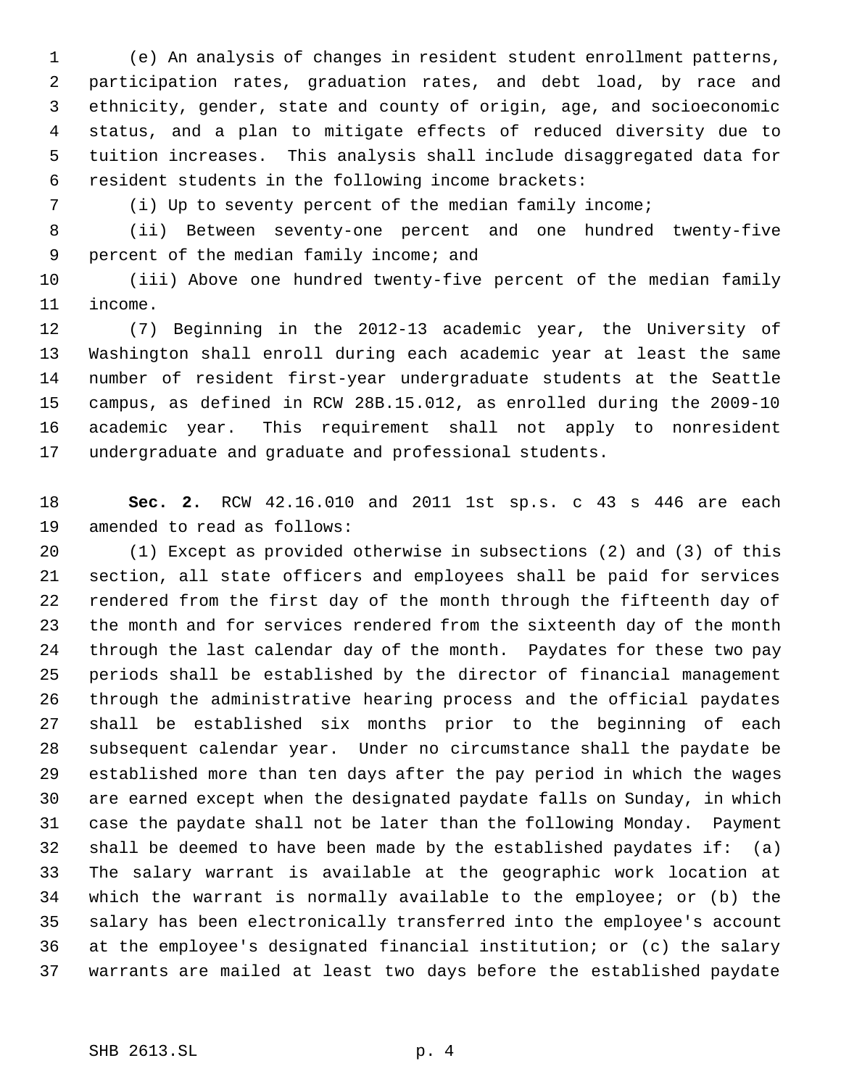(e) An analysis of changes in resident student enrollment patterns, participation rates, graduation rates, and debt load, by race and ethnicity, gender, state and county of origin, age, and socioeconomic status, and a plan to mitigate effects of reduced diversity due to tuition increases. This analysis shall include disaggregated data for resident students in the following income brackets:

(i) Up to seventy percent of the median family income;

 (ii) Between seventy-one percent and one hundred twenty-five 9 percent of the median family income; and

 (iii) Above one hundred twenty-five percent of the median family income.

 (7) Beginning in the 2012-13 academic year, the University of Washington shall enroll during each academic year at least the same number of resident first-year undergraduate students at the Seattle campus, as defined in RCW 28B.15.012, as enrolled during the 2009-10 academic year. This requirement shall not apply to nonresident undergraduate and graduate and professional students.

 **Sec. 2.** RCW 42.16.010 and 2011 1st sp.s. c 43 s 446 are each amended to read as follows:

 (1) Except as provided otherwise in subsections (2) and (3) of this section, all state officers and employees shall be paid for services rendered from the first day of the month through the fifteenth day of the month and for services rendered from the sixteenth day of the month through the last calendar day of the month. Paydates for these two pay periods shall be established by the director of financial management through the administrative hearing process and the official paydates shall be established six months prior to the beginning of each subsequent calendar year. Under no circumstance shall the paydate be established more than ten days after the pay period in which the wages are earned except when the designated paydate falls on Sunday, in which case the paydate shall not be later than the following Monday. Payment shall be deemed to have been made by the established paydates if: (a) The salary warrant is available at the geographic work location at which the warrant is normally available to the employee; or (b) the salary has been electronically transferred into the employee's account at the employee's designated financial institution; or (c) the salary warrants are mailed at least two days before the established paydate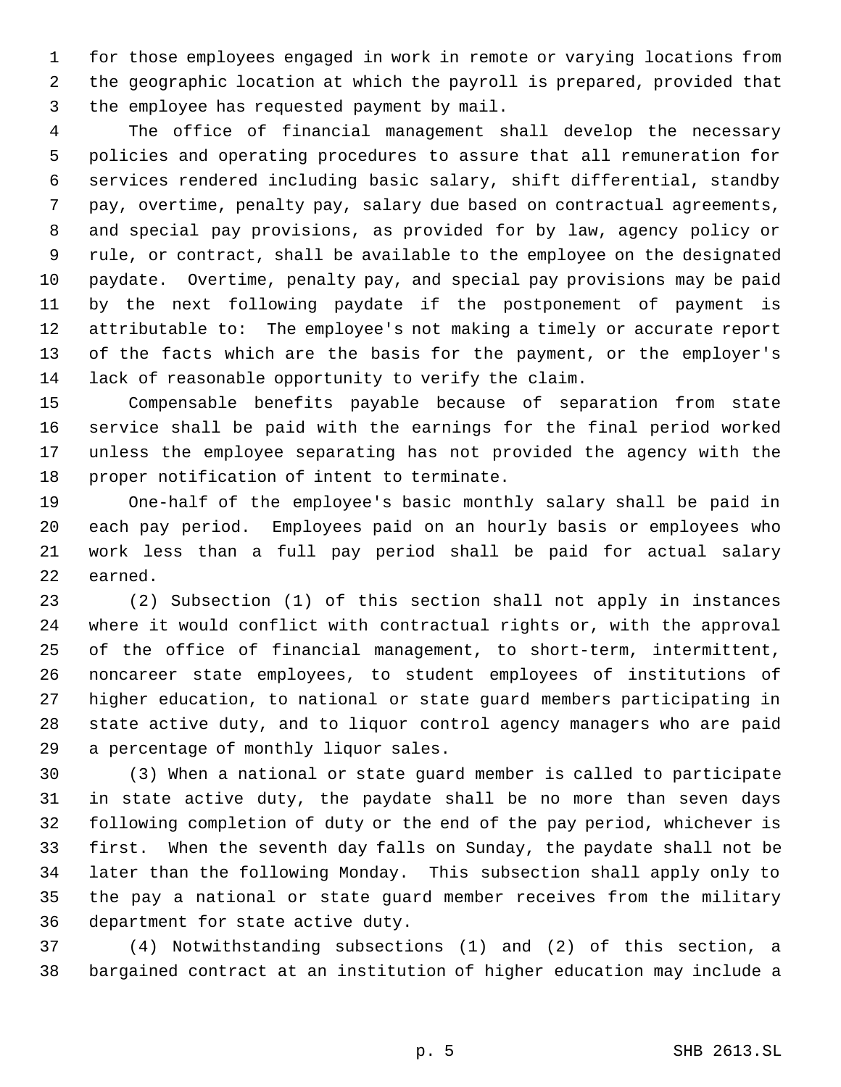for those employees engaged in work in remote or varying locations from the geographic location at which the payroll is prepared, provided that the employee has requested payment by mail.

 The office of financial management shall develop the necessary policies and operating procedures to assure that all remuneration for services rendered including basic salary, shift differential, standby pay, overtime, penalty pay, salary due based on contractual agreements, and special pay provisions, as provided for by law, agency policy or rule, or contract, shall be available to the employee on the designated paydate. Overtime, penalty pay, and special pay provisions may be paid by the next following paydate if the postponement of payment is attributable to: The employee's not making a timely or accurate report of the facts which are the basis for the payment, or the employer's lack of reasonable opportunity to verify the claim.

 Compensable benefits payable because of separation from state service shall be paid with the earnings for the final period worked unless the employee separating has not provided the agency with the proper notification of intent to terminate.

 One-half of the employee's basic monthly salary shall be paid in each pay period. Employees paid on an hourly basis or employees who work less than a full pay period shall be paid for actual salary earned.

 (2) Subsection (1) of this section shall not apply in instances where it would conflict with contractual rights or, with the approval of the office of financial management, to short-term, intermittent, noncareer state employees, to student employees of institutions of higher education, to national or state guard members participating in state active duty, and to liquor control agency managers who are paid a percentage of monthly liquor sales.

 (3) When a national or state guard member is called to participate in state active duty, the paydate shall be no more than seven days following completion of duty or the end of the pay period, whichever is first. When the seventh day falls on Sunday, the paydate shall not be later than the following Monday. This subsection shall apply only to the pay a national or state guard member receives from the military department for state active duty.

 (4) Notwithstanding subsections (1) and (2) of this section, a bargained contract at an institution of higher education may include a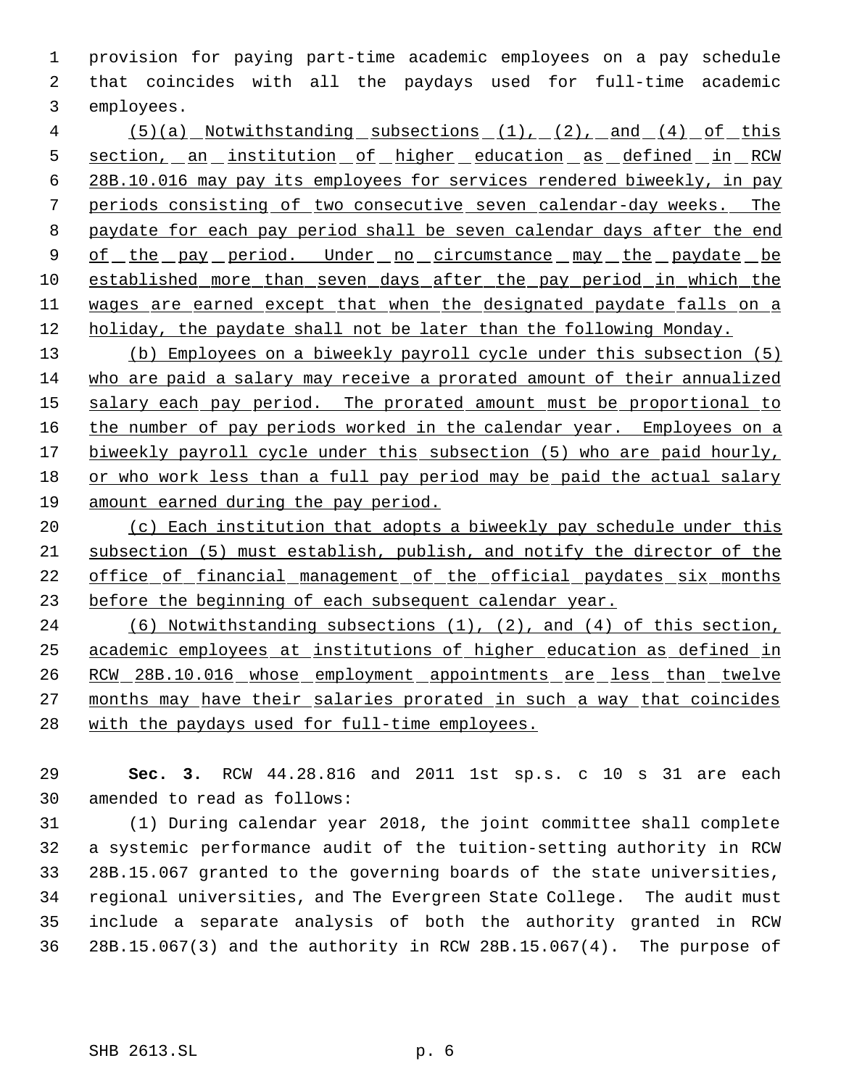provision for paying part-time academic employees on a pay schedule that coincides with all the paydays used for full-time academic employees.

 (5)(a) Notwithstanding subsections (1), (2), and (4) of this 5 section, an institution of higher education as defined in RCW 28B.10.016 may pay its employees for services rendered biweekly, in pay periods consisting of two consecutive seven calendar-day weeks. The paydate for each pay period shall be seven calendar days after the end 9 of the pay period. Under no circumstance may the paydate be established more than seven days after the pay period in which the wages are earned except that when the designated paydate falls on a 12 holiday, the paydate shall not be later than the following Monday.

 (b) Employees on a biweekly payroll cycle under this subsection (5) who are paid a salary may receive a prorated amount of their annualized 15 salary each pay period. The prorated amount must be proportional to 16 the number of pay periods worked in the calendar year. Employees on a 17 biweekly payroll cycle under this subsection (5) who are paid hourly, or who work less than a full pay period may be paid the actual salary amount earned during the pay period.

20 (c) Each institution that adopts a biweekly pay schedule under this subsection (5) must establish, publish, and notify the director of the office of financial management of the official paydates six months before the beginning of each subsequent calendar year.

 (6) Notwithstanding subsections (1), (2), and (4) of this section, academic employees at institutions of higher education as defined in 26 RCW 28B.10.016 whose employment appointments are less than twelve months may have their salaries prorated in such a way that coincides 28 with the paydays used for full-time employees.

 **Sec. 3.** RCW 44.28.816 and 2011 1st sp.s. c 10 s 31 are each amended to read as follows:

 (1) During calendar year 2018, the joint committee shall complete a systemic performance audit of the tuition-setting authority in RCW 28B.15.067 granted to the governing boards of the state universities, regional universities, and The Evergreen State College. The audit must include a separate analysis of both the authority granted in RCW 28B.15.067(3) and the authority in RCW 28B.15.067(4). The purpose of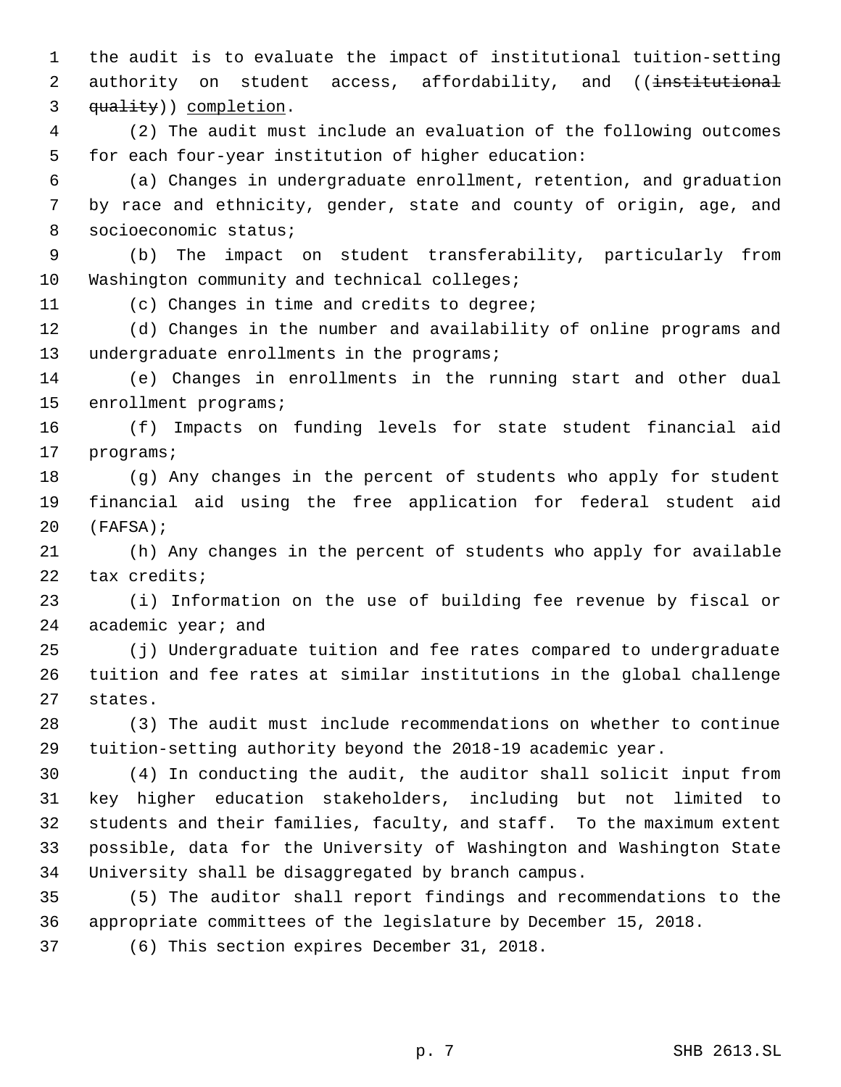the audit is to evaluate the impact of institutional tuition-setting 2 authority on student access, affordability, and ((institutional 3 quality) completion.

 (2) The audit must include an evaluation of the following outcomes for each four-year institution of higher education:

 (a) Changes in undergraduate enrollment, retention, and graduation by race and ethnicity, gender, state and county of origin, age, and socioeconomic status;

 (b) The impact on student transferability, particularly from 10 Washington community and technical colleges;

(c) Changes in time and credits to degree;

 (d) Changes in the number and availability of online programs and 13 undergraduate enrollments in the programs;

 (e) Changes in enrollments in the running start and other dual enrollment programs;

 (f) Impacts on funding levels for state student financial aid programs;

 (g) Any changes in the percent of students who apply for student financial aid using the free application for federal student aid (FAFSA);

 (h) Any changes in the percent of students who apply for available tax credits;

 (i) Information on the use of building fee revenue by fiscal or academic year; and

 (j) Undergraduate tuition and fee rates compared to undergraduate tuition and fee rates at similar institutions in the global challenge states.

 (3) The audit must include recommendations on whether to continue tuition-setting authority beyond the 2018-19 academic year.

 (4) In conducting the audit, the auditor shall solicit input from key higher education stakeholders, including but not limited to students and their families, faculty, and staff. To the maximum extent possible, data for the University of Washington and Washington State University shall be disaggregated by branch campus.

 (5) The auditor shall report findings and recommendations to the appropriate committees of the legislature by December 15, 2018.

(6) This section expires December 31, 2018.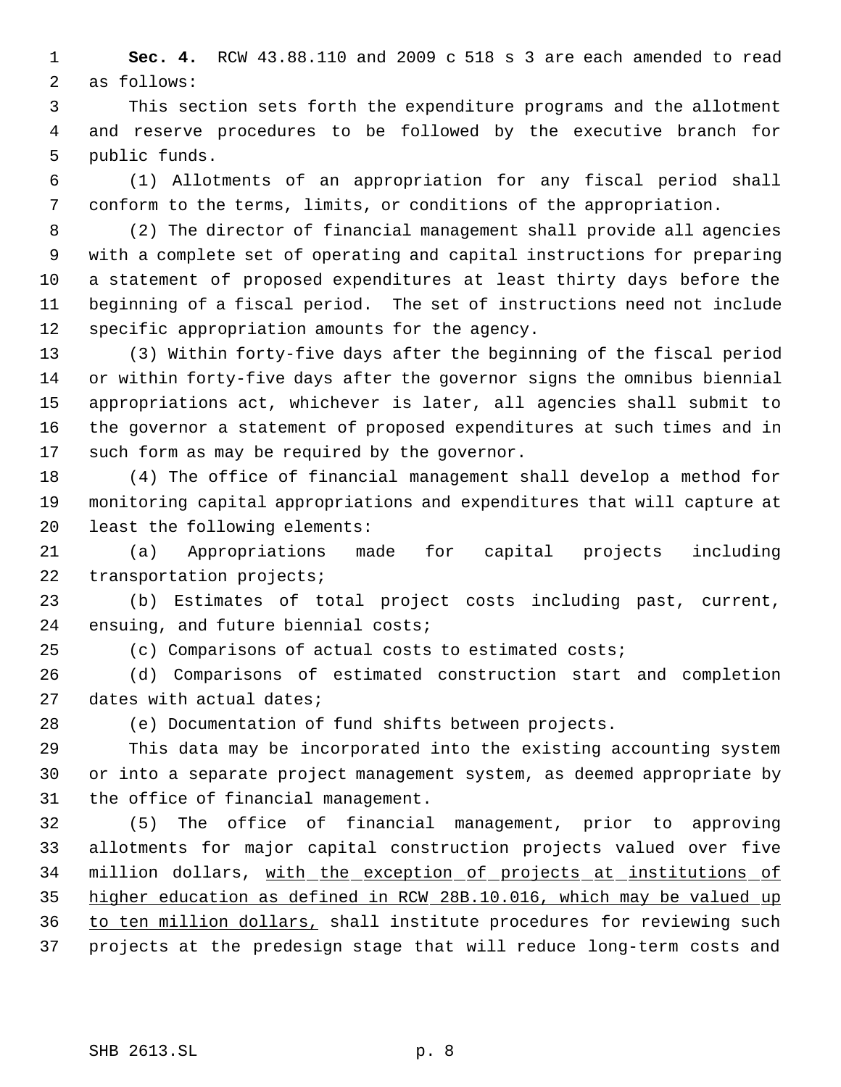**Sec. 4.** RCW 43.88.110 and 2009 c 518 s 3 are each amended to read as follows:

 This section sets forth the expenditure programs and the allotment and reserve procedures to be followed by the executive branch for public funds.

 (1) Allotments of an appropriation for any fiscal period shall conform to the terms, limits, or conditions of the appropriation.

 (2) The director of financial management shall provide all agencies with a complete set of operating and capital instructions for preparing a statement of proposed expenditures at least thirty days before the beginning of a fiscal period. The set of instructions need not include specific appropriation amounts for the agency.

 (3) Within forty-five days after the beginning of the fiscal period or within forty-five days after the governor signs the omnibus biennial appropriations act, whichever is later, all agencies shall submit to the governor a statement of proposed expenditures at such times and in such form as may be required by the governor.

 (4) The office of financial management shall develop a method for monitoring capital appropriations and expenditures that will capture at least the following elements:

 (a) Appropriations made for capital projects including transportation projects;

 (b) Estimates of total project costs including past, current, ensuing, and future biennial costs;

(c) Comparisons of actual costs to estimated costs;

 (d) Comparisons of estimated construction start and completion dates with actual dates;

(e) Documentation of fund shifts between projects.

 This data may be incorporated into the existing accounting system or into a separate project management system, as deemed appropriate by the office of financial management.

 (5) The office of financial management, prior to approving allotments for major capital construction projects valued over five 34 million dollars, with the exception of projects at institutions of higher education as defined in RCW 28B.10.016, which may be valued up to ten million dollars, shall institute procedures for reviewing such projects at the predesign stage that will reduce long-term costs and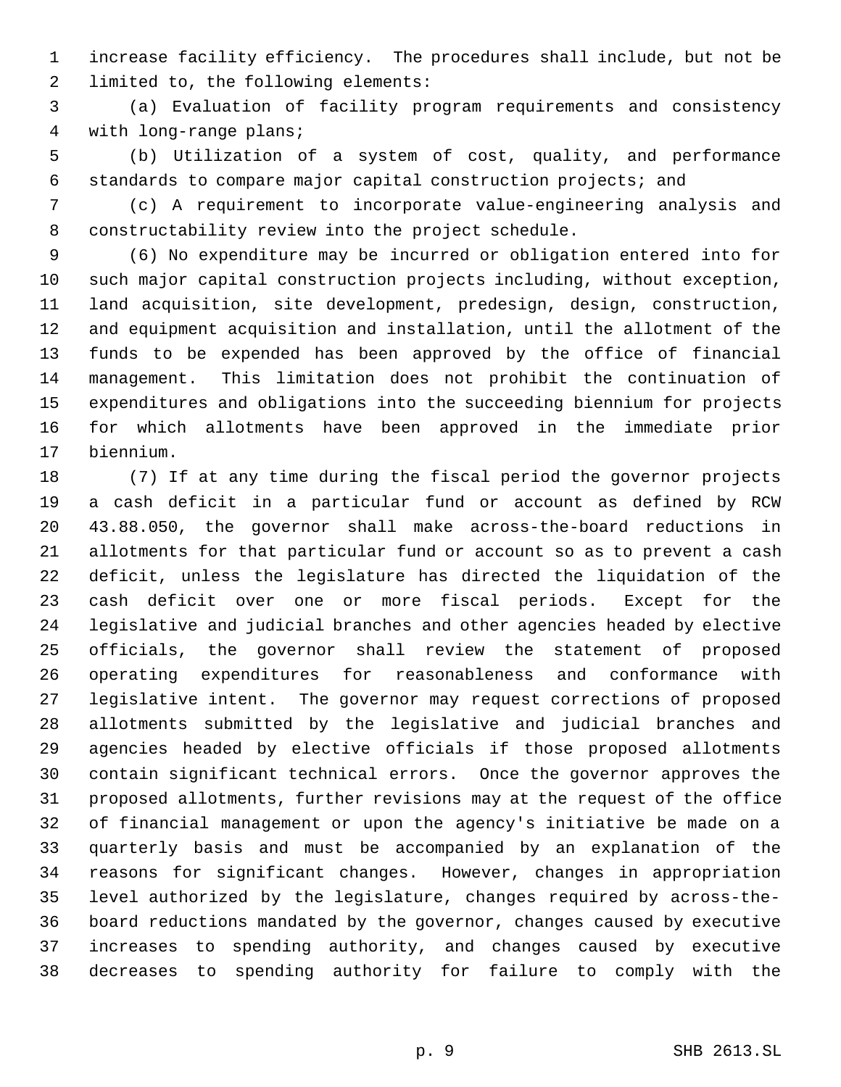increase facility efficiency. The procedures shall include, but not be limited to, the following elements:

 (a) Evaluation of facility program requirements and consistency with long-range plans;

 (b) Utilization of a system of cost, quality, and performance standards to compare major capital construction projects; and

 (c) A requirement to incorporate value-engineering analysis and constructability review into the project schedule.

 (6) No expenditure may be incurred or obligation entered into for such major capital construction projects including, without exception, land acquisition, site development, predesign, design, construction, and equipment acquisition and installation, until the allotment of the funds to be expended has been approved by the office of financial management. This limitation does not prohibit the continuation of expenditures and obligations into the succeeding biennium for projects for which allotments have been approved in the immediate prior biennium.

 (7) If at any time during the fiscal period the governor projects a cash deficit in a particular fund or account as defined by RCW 43.88.050, the governor shall make across-the-board reductions in allotments for that particular fund or account so as to prevent a cash deficit, unless the legislature has directed the liquidation of the cash deficit over one or more fiscal periods. Except for the legislative and judicial branches and other agencies headed by elective officials, the governor shall review the statement of proposed operating expenditures for reasonableness and conformance with legislative intent. The governor may request corrections of proposed allotments submitted by the legislative and judicial branches and agencies headed by elective officials if those proposed allotments contain significant technical errors. Once the governor approves the proposed allotments, further revisions may at the request of the office of financial management or upon the agency's initiative be made on a quarterly basis and must be accompanied by an explanation of the reasons for significant changes. However, changes in appropriation level authorized by the legislature, changes required by across-the- board reductions mandated by the governor, changes caused by executive increases to spending authority, and changes caused by executive decreases to spending authority for failure to comply with the